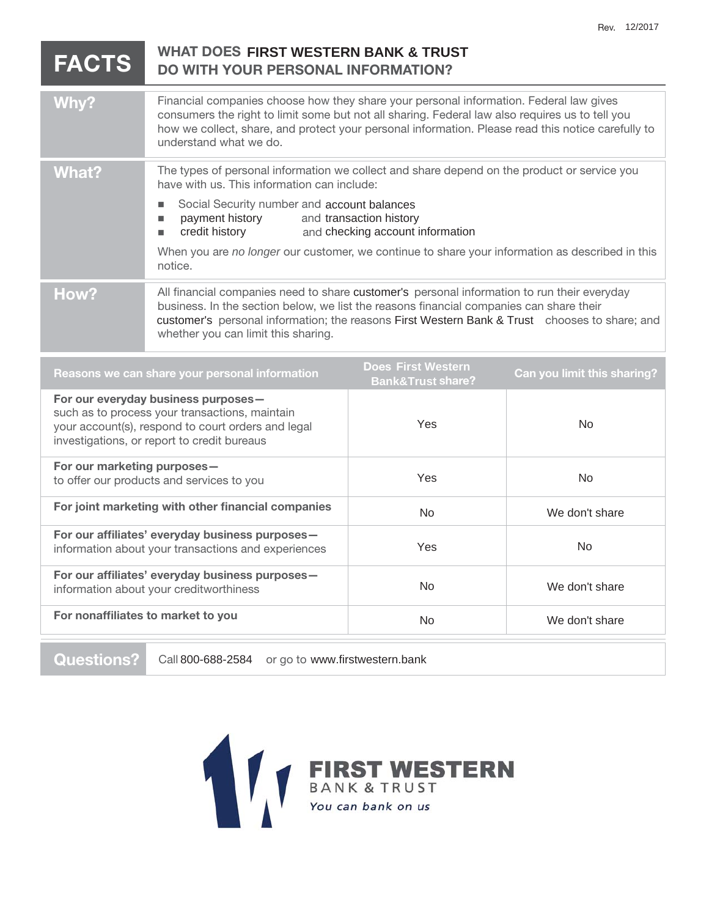| <b>FACTS</b>                                                                                                                                                                               | <b>WHAT DOES FIRST WESTERN BANK &amp; TRUST</b><br><b>DO WITH YOUR PERSONAL INFORMATION?</b>                                                                                                                                                                                                                                                                                                                               |                                                           |                             |
|--------------------------------------------------------------------------------------------------------------------------------------------------------------------------------------------|----------------------------------------------------------------------------------------------------------------------------------------------------------------------------------------------------------------------------------------------------------------------------------------------------------------------------------------------------------------------------------------------------------------------------|-----------------------------------------------------------|-----------------------------|
| Why?                                                                                                                                                                                       | Financial companies choose how they share your personal information. Federal law gives<br>consumers the right to limit some but not all sharing. Federal law also requires us to tell you<br>how we collect, share, and protect your personal information. Please read this notice carefully to<br>understand what we do.                                                                                                  |                                                           |                             |
| <b>What?</b>                                                                                                                                                                               | The types of personal information we collect and share depend on the product or service you<br>have with us. This information can include:<br>Social Security number and account balances<br>■<br>payment history<br>and transaction history<br>п<br>credit history<br>and checking account information<br>п<br>When you are no longer our customer, we continue to share your information as described in this<br>notice. |                                                           |                             |
| How?                                                                                                                                                                                       | All financial companies need to share customer's personal information to run their everyday<br>business. In the section below, we list the reasons financial companies can share their<br>customer's personal information; the reasons First Western Bank & Trust chooses to share; and<br>whether you can limit this sharing.                                                                                             |                                                           |                             |
| Reasons we can share your personal information                                                                                                                                             |                                                                                                                                                                                                                                                                                                                                                                                                                            | <b>Does First Western</b><br><b>Bank&amp;Trust share?</b> | Can you limit this sharing? |
| For our everyday business purposes-<br>such as to process your transactions, maintain<br>your account(s), respond to court orders and legal<br>investigations, or report to credit bureaus |                                                                                                                                                                                                                                                                                                                                                                                                                            | Yes                                                       | <b>No</b>                   |
| For our marketing purposes-<br>to offer our products and services to you                                                                                                                   |                                                                                                                                                                                                                                                                                                                                                                                                                            | Yes                                                       | <b>No</b>                   |
| For joint marketing with other financial companies                                                                                                                                         |                                                                                                                                                                                                                                                                                                                                                                                                                            | <b>No</b>                                                 | We don't share              |
| For our affiliates' everyday business purposes-                                                                                                                                            |                                                                                                                                                                                                                                                                                                                                                                                                                            | $\sqrt{2}$                                                | $N_{\rm A}$                 |

information about your transactions and experiences **For our affiliates' everyday business purposes**  information about your creditworthiness **For nonaffiliates to market to you**  Yes No No We don't share No We don't share

**Questions?** Call 800-688-2584 or go to www.firstwestern.bank